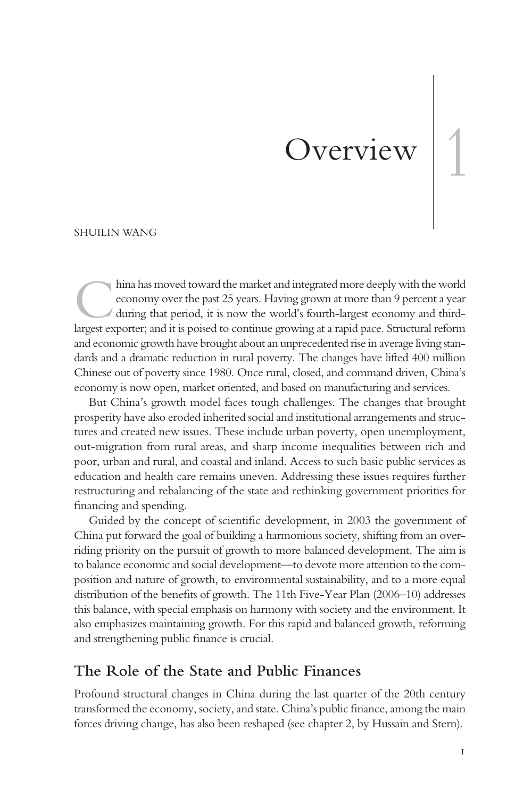# Overview 1

#### SHUILIN WANG

hina has moved toward the market and integrated more deeply with the world<br>economy over the past 25 years. Having grown at more than 9 percent a year<br>during that period, it is now the world's fourth-largest economy and thi economy over the past 25 years. Having grown at more than 9 percent a year during that period, it is now the world's fourth-largest economy and thirdlargest exporter; and it is poised to continue growing at a rapid pace. Structural reform and economic growth have brought about an unprecedented rise in average living standards and a dramatic reduction in rural poverty. The changes have lifted 400 million Chinese out of poverty since 1980. Once rural, closed, and command driven, China's economy is now open, market oriented, and based on manufacturing and services.

But China's growth model faces tough challenges. The changes that brought prosperity have also eroded inherited social and institutional arrangements and structures and created new issues. These include urban poverty, open unemployment, out-migration from rural areas, and sharp income inequalities between rich and poor, urban and rural, and coastal and inland. Access to such basic public services as education and health care remains uneven. Addressing these issues requires further restructuring and rebalancing of the state and rethinking government priorities for financing and spending.

Guided by the concept of scientific development, in 2003 the government of China put forward the goal of building a harmonious society, shifting from an overriding priority on the pursuit of growth to more balanced development. The aim is to balance economic and social development—to devote more attention to the composition and nature of growth, to environmental sustainability, and to a more equal distribution of the benefits of growth. The 11th Five-Year Plan (2006–10) addresses this balance, with special emphasis on harmony with society and the environment. It also emphasizes maintaining growth. For this rapid and balanced growth, reforming and strengthening public finance is crucial.

## **The Role of the State and Public Finances**

Profound structural changes in China during the last quarter of the 20th century transformed the economy, society, and state. China's public finance, among the main forces driving change, has also been reshaped (see chapter 2, by Hussain and Stern).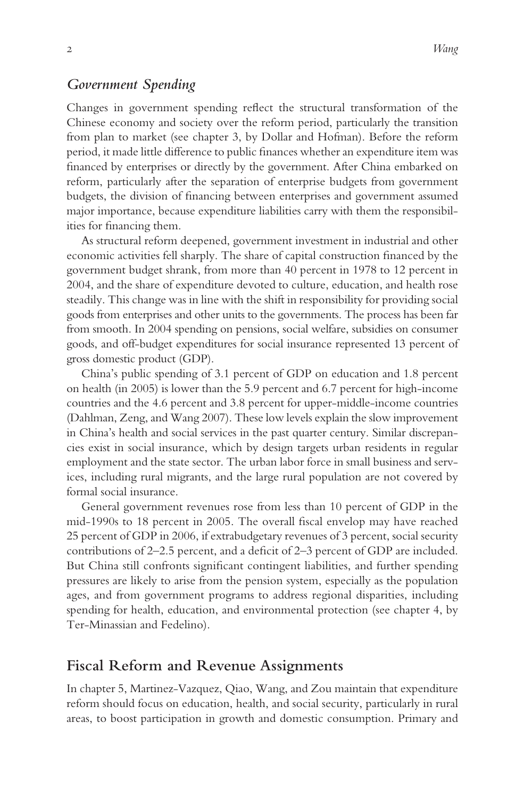#### *Government Spending*

Changes in government spending reflect the structural transformation of the Chinese economy and society over the reform period, particularly the transition from plan to market (see chapter 3, by Dollar and Hofman). Before the reform period, it made little difference to public finances whether an expenditure item was financed by enterprises or directly by the government. After China embarked on reform, particularly after the separation of enterprise budgets from government budgets, the division of financing between enterprises and government assumed major importance, because expenditure liabilities carry with them the responsibilities for financing them.

As structural reform deepened, government investment in industrial and other economic activities fell sharply. The share of capital construction financed by the government budget shrank, from more than 40 percent in 1978 to 12 percent in 2004, and the share of expenditure devoted to culture, education, and health rose steadily. This change was in line with the shift in responsibility for providing social goods from enterprises and other units to the governments. The process has been far from smooth. In 2004 spending on pensions, social welfare, subsidies on consumer goods, and off-budget expenditures for social insurance represented 13 percent of gross domestic product (GDP).

China's public spending of 3.1 percent of GDP on education and 1.8 percent on health (in 2005) is lower than the 5.9 percent and 6.7 percent for high-income countries and the 4.6 percent and 3.8 percent for upper-middle-income countries (Dahlman, Zeng, and Wang 2007). These low levels explain the slow improvement in China's health and social services in the past quarter century. Similar discrepancies exist in social insurance, which by design targets urban residents in regular employment and the state sector. The urban labor force in small business and services, including rural migrants, and the large rural population are not covered by formal social insurance.

General government revenues rose from less than 10 percent of GDP in the mid-1990s to 18 percent in 2005. The overall fiscal envelop may have reached 25 percent of GDP in 2006, if extrabudgetary revenues of 3 percent, social security contributions of 2–2.5 percent, and a deficit of 2–3 percent of GDP are included. But China still confronts significant contingent liabilities, and further spending pressures are likely to arise from the pension system, especially as the population ages, and from government programs to address regional disparities, including spending for health, education, and environmental protection (see chapter 4, by Ter-Minassian and Fedelino).

# **Fiscal Reform and Revenue Assignments**

In chapter 5, Martinez-Vazquez, Qiao, Wang, and Zou maintain that expenditure reform should focus on education, health, and social security, particularly in rural areas, to boost participation in growth and domestic consumption. Primary and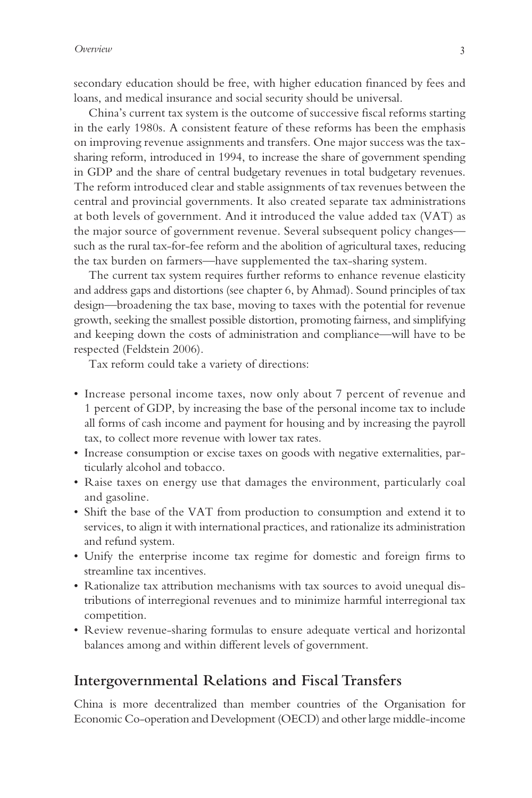secondary education should be free, with higher education financed by fees and loans, and medical insurance and social security should be universal.

China's current tax system is the outcome of successive fiscal reforms starting in the early 1980s. A consistent feature of these reforms has been the emphasis on improving revenue assignments and transfers. One major success was the taxsharing reform, introduced in 1994, to increase the share of government spending in GDP and the share of central budgetary revenues in total budgetary revenues. The reform introduced clear and stable assignments of tax revenues between the central and provincial governments. It also created separate tax administrations at both levels of government. And it introduced the value added tax (VAT) as the major source of government revenue. Several subsequent policy changes such as the rural tax-for-fee reform and the abolition of agricultural taxes, reducing the tax burden on farmers—have supplemented the tax-sharing system.

The current tax system requires further reforms to enhance revenue elasticity and address gaps and distortions (see chapter 6, by Ahmad). Sound principles of tax design—broadening the tax base, moving to taxes with the potential for revenue growth, seeking the smallest possible distortion, promoting fairness, and simplifying and keeping down the costs of administration and compliance—will have to be respected (Feldstein 2006).

Tax reform could take a variety of directions:

- Increase personal income taxes, now only about 7 percent of revenue and 1 percent of GDP, by increasing the base of the personal income tax to include all forms of cash income and payment for housing and by increasing the payroll tax, to collect more revenue with lower tax rates.
- Increase consumption or excise taxes on goods with negative externalities, particularly alcohol and tobacco.
- Raise taxes on energy use that damages the environment, particularly coal and gasoline.
- Shift the base of the VAT from production to consumption and extend it to services, to align it with international practices, and rationalize its administration and refund system.
- Unify the enterprise income tax regime for domestic and foreign firms to streamline tax incentives.
- Rationalize tax attribution mechanisms with tax sources to avoid unequal distributions of interregional revenues and to minimize harmful interregional tax competition.
- Review revenue-sharing formulas to ensure adequate vertical and horizontal balances among and within different levels of government.

# **Intergovernmental Relations and Fiscal Transfers**

China is more decentralized than member countries of the Organisation for Economic Co-operation and Development (OECD) and other large middle-income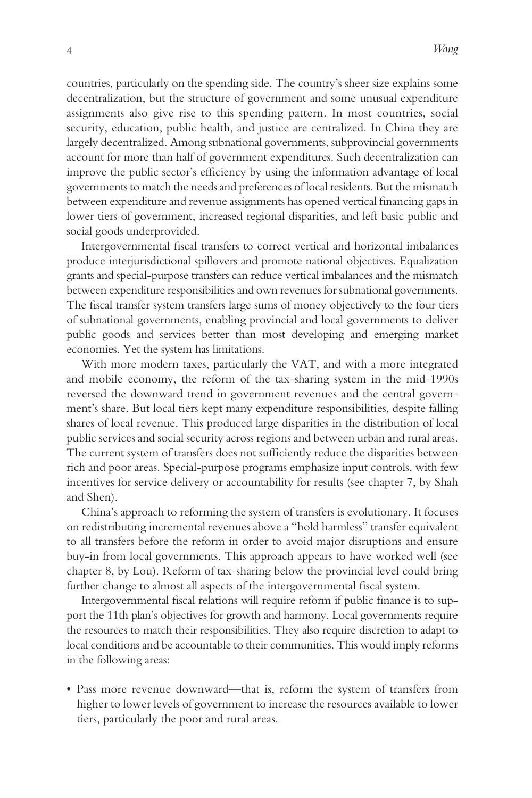countries, particularly on the spending side. The country's sheer size explains some decentralization, but the structure of government and some unusual expenditure assignments also give rise to this spending pattern. In most countries, social security, education, public health, and justice are centralized. In China they are largely decentralized. Among subnational governments, subprovincial governments account for more than half of government expenditures. Such decentralization can improve the public sector's efficiency by using the information advantage of local governments to match the needs and preferences of local residents. But the mismatch between expenditure and revenue assignments has opened vertical financing gaps in lower tiers of government, increased regional disparities, and left basic public and social goods underprovided.

Intergovernmental fiscal transfers to correct vertical and horizontal imbalances produce interjurisdictional spillovers and promote national objectives. Equalization grants and special-purpose transfers can reduce vertical imbalances and the mismatch between expenditure responsibilities and own revenues for subnational governments. The fiscal transfer system transfers large sums of money objectively to the four tiers of subnational governments, enabling provincial and local governments to deliver public goods and services better than most developing and emerging market economies. Yet the system has limitations.

With more modern taxes, particularly the VAT, and with a more integrated and mobile economy, the reform of the tax-sharing system in the mid-1990s reversed the downward trend in government revenues and the central government's share. But local tiers kept many expenditure responsibilities, despite falling shares of local revenue. This produced large disparities in the distribution of local public services and social security across regions and between urban and rural areas. The current system of transfers does not sufficiently reduce the disparities between rich and poor areas. Special-purpose programs emphasize input controls, with few incentives for service delivery or accountability for results (see chapter 7, by Shah and Shen).

China's approach to reforming the system of transfers is evolutionary. It focuses on redistributing incremental revenues above a "hold harmless" transfer equivalent to all transfers before the reform in order to avoid major disruptions and ensure buy-in from local governments. This approach appears to have worked well (see chapter 8, by Lou). Reform of tax-sharing below the provincial level could bring further change to almost all aspects of the intergovernmental fiscal system.

Intergovernmental fiscal relations will require reform if public finance is to support the 11th plan's objectives for growth and harmony. Local governments require the resources to match their responsibilities. They also require discretion to adapt to local conditions and be accountable to their communities. This would imply reforms in the following areas:

• Pass more revenue downward—that is, reform the system of transfers from higher to lower levels of government to increase the resources available to lower tiers, particularly the poor and rural areas.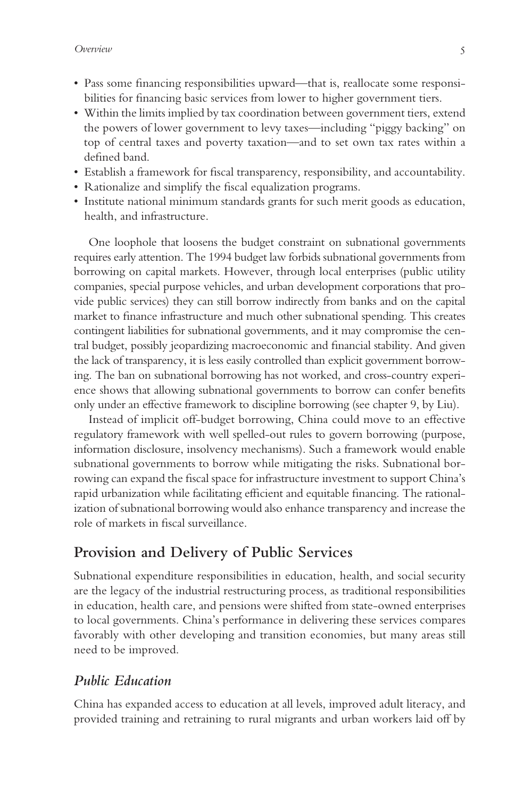- Pass some financing responsibilities upward—that is, reallocate some responsibilities for financing basic services from lower to higher government tiers.
- Within the limits implied by tax coordination between government tiers, extend the powers of lower government to levy taxes—including "piggy backing" on top of central taxes and poverty taxation—and to set own tax rates within a defined band.
- Establish a framework for fiscal transparency, responsibility, and accountability.
- Rationalize and simplify the fiscal equalization programs.
- Institute national minimum standards grants for such merit goods as education, health, and infrastructure.

One loophole that loosens the budget constraint on subnational governments requires early attention. The 1994 budget law forbids subnational governments from borrowing on capital markets. However, through local enterprises (public utility companies, special purpose vehicles, and urban development corporations that provide public services) they can still borrow indirectly from banks and on the capital market to finance infrastructure and much other subnational spending. This creates contingent liabilities for subnational governments, and it may compromise the central budget, possibly jeopardizing macroeconomic and financial stability. And given the lack of transparency, it is less easily controlled than explicit government borrowing. The ban on subnational borrowing has not worked, and cross-country experience shows that allowing subnational governments to borrow can confer benefits only under an effective framework to discipline borrowing (see chapter 9, by Liu).

Instead of implicit off-budget borrowing, China could move to an effective regulatory framework with well spelled-out rules to govern borrowing (purpose, information disclosure, insolvency mechanisms). Such a framework would enable subnational governments to borrow while mitigating the risks. Subnational borrowing can expand the fiscal space for infrastructure investment to support China's rapid urbanization while facilitating efficient and equitable financing. The rationalization of subnational borrowing would also enhance transparency and increase the role of markets in fiscal surveillance.

# **Provision and Delivery of Public Services**

Subnational expenditure responsibilities in education, health, and social security are the legacy of the industrial restructuring process, as traditional responsibilities in education, health care, and pensions were shifted from state-owned enterprises to local governments. China's performance in delivering these services compares favorably with other developing and transition economies, but many areas still need to be improved.

## *Public Education*

China has expanded access to education at all levels, improved adult literacy, and provided training and retraining to rural migrants and urban workers laid off by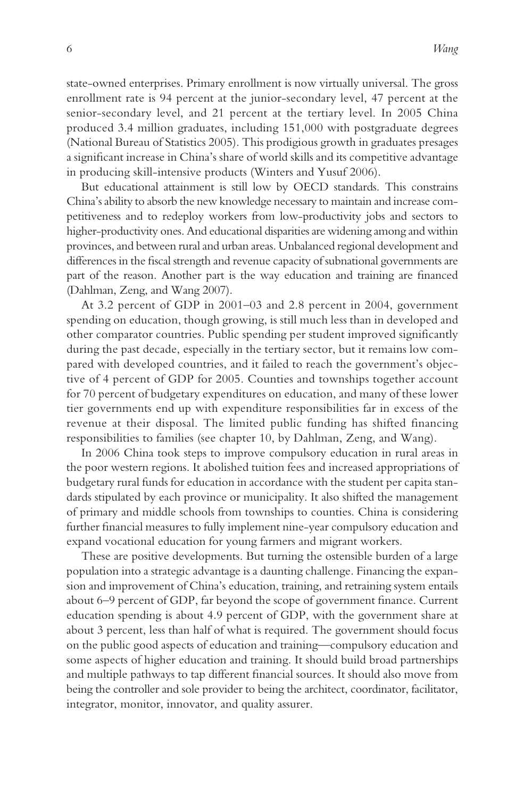state-owned enterprises. Primary enrollment is now virtually universal. The gross enrollment rate is 94 percent at the junior-secondary level, 47 percent at the senior-secondary level, and 21 percent at the tertiary level. In 2005 China produced 3.4 million graduates, including 151,000 with postgraduate degrees (National Bureau of Statistics 2005). This prodigious growth in graduates presages a significant increase in China's share of world skills and its competitive advantage in producing skill-intensive products (Winters and Yusuf 2006).

But educational attainment is still low by OECD standards. This constrains China's ability to absorb the new knowledge necessary to maintain and increase competitiveness and to redeploy workers from low-productivity jobs and sectors to higher-productivity ones. And educational disparities are widening among and within provinces, and between rural and urban areas. Unbalanced regional development and differences in the fiscal strength and revenue capacity of subnational governments are part of the reason. Another part is the way education and training are financed (Dahlman, Zeng, and Wang 2007).

At 3.2 percent of GDP in 2001–03 and 2.8 percent in 2004, government spending on education, though growing, is still much less than in developed and other comparator countries. Public spending per student improved significantly during the past decade, especially in the tertiary sector, but it remains low compared with developed countries, and it failed to reach the government's objective of 4 percent of GDP for 2005. Counties and townships together account for 70 percent of budgetary expenditures on education, and many of these lower tier governments end up with expenditure responsibilities far in excess of the revenue at their disposal. The limited public funding has shifted financing responsibilities to families (see chapter 10, by Dahlman, Zeng, and Wang).

In 2006 China took steps to improve compulsory education in rural areas in the poor western regions. It abolished tuition fees and increased appropriations of budgetary rural funds for education in accordance with the student per capita standards stipulated by each province or municipality. It also shifted the management of primary and middle schools from townships to counties. China is considering further financial measures to fully implement nine-year compulsory education and expand vocational education for young farmers and migrant workers.

These are positive developments. But turning the ostensible burden of a large population into a strategic advantage is a daunting challenge. Financing the expansion and improvement of China's education, training, and retraining system entails about 6–9 percent of GDP, far beyond the scope of government finance. Current education spending is about 4.9 percent of GDP, with the government share at about 3 percent, less than half of what is required. The government should focus on the public good aspects of education and training—compulsory education and some aspects of higher education and training. It should build broad partnerships and multiple pathways to tap different financial sources. It should also move from being the controller and sole provider to being the architect, coordinator, facilitator, integrator, monitor, innovator, and quality assurer.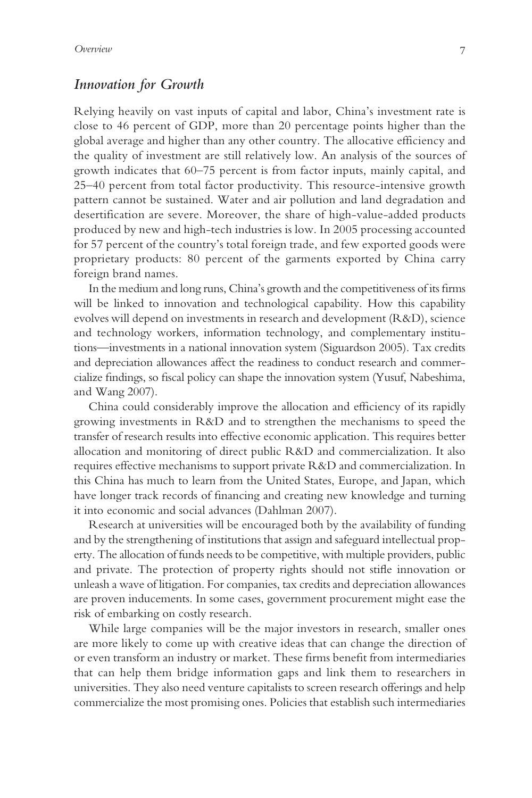### *Innovation for Growth*

Relying heavily on vast inputs of capital and labor, China's investment rate is close to 46 percent of GDP, more than 20 percentage points higher than the global average and higher than any other country. The allocative efficiency and the quality of investment are still relatively low. An analysis of the sources of growth indicates that 60–75 percent is from factor inputs, mainly capital, and 25–40 percent from total factor productivity. This resource-intensive growth pattern cannot be sustained. Water and air pollution and land degradation and desertification are severe. Moreover, the share of high-value-added products produced by new and high-tech industries is low. In 2005 processing accounted for 57 percent of the country's total foreign trade, and few exported goods were proprietary products: 80 percent of the garments exported by China carry foreign brand names.

In the medium and long runs, China's growth and the competitiveness of its firms will be linked to innovation and technological capability. How this capability evolves will depend on investments in research and development (R&D), science and technology workers, information technology, and complementary institutions—investments in a national innovation system (Siguardson 2005). Tax credits and depreciation allowances affect the readiness to conduct research and commercialize findings, so fiscal policy can shape the innovation system (Yusuf, Nabeshima, and Wang 2007).

China could considerably improve the allocation and efficiency of its rapidly growing investments in R&D and to strengthen the mechanisms to speed the transfer of research results into effective economic application. This requires better allocation and monitoring of direct public R&D and commercialization. It also requires effective mechanisms to support private R&D and commercialization. In this China has much to learn from the United States, Europe, and Japan, which have longer track records of financing and creating new knowledge and turning it into economic and social advances (Dahlman 2007).

Research at universities will be encouraged both by the availability of funding and by the strengthening of institutions that assign and safeguard intellectual property. The allocation of funds needs to be competitive, with multiple providers, public and private. The protection of property rights should not stifle innovation or unleash a wave of litigation. For companies, tax credits and depreciation allowances are proven inducements. In some cases, government procurement might ease the risk of embarking on costly research.

While large companies will be the major investors in research, smaller ones are more likely to come up with creative ideas that can change the direction of or even transform an industry or market. These firms benefit from intermediaries that can help them bridge information gaps and link them to researchers in universities. They also need venture capitalists to screen research offerings and help commercialize the most promising ones. Policies that establish such intermediaries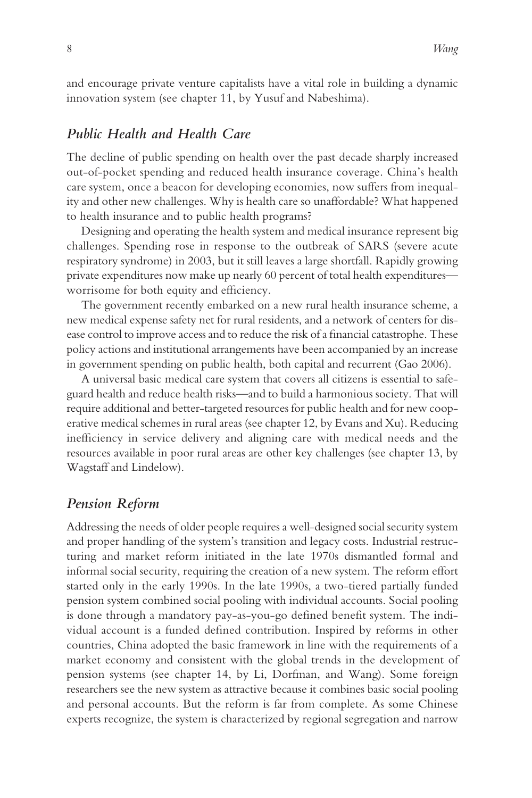and encourage private venture capitalists have a vital role in building a dynamic innovation system (see chapter 11, by Yusuf and Nabeshima).

## *Public Health and Health Care*

The decline of public spending on health over the past decade sharply increased out-of-pocket spending and reduced health insurance coverage. China's health care system, once a beacon for developing economies, now suffers from inequality and other new challenges. Why is health care so unaffordable? What happened to health insurance and to public health programs?

Designing and operating the health system and medical insurance represent big challenges. Spending rose in response to the outbreak of SARS (severe acute respiratory syndrome) in 2003, but it still leaves a large shortfall. Rapidly growing private expenditures now make up nearly 60 percent of total health expenditures worrisome for both equity and efficiency.

The government recently embarked on a new rural health insurance scheme, a new medical expense safety net for rural residents, and a network of centers for disease control to improve access and to reduce the risk of a financial catastrophe. These policy actions and institutional arrangements have been accompanied by an increase in government spending on public health, both capital and recurrent (Gao 2006).

A universal basic medical care system that covers all citizens is essential to safeguard health and reduce health risks—and to build a harmonious society. That will require additional and better-targeted resources for public health and for new cooperative medical schemes in rural areas (see chapter 12, by Evans and Xu). Reducing inefficiency in service delivery and aligning care with medical needs and the resources available in poor rural areas are other key challenges (see chapter 13, by Wagstaff and Lindelow).

#### *Pension Reform*

Addressing the needs of older people requires a well-designed social security system and proper handling of the system's transition and legacy costs. Industrial restructuring and market reform initiated in the late 1970s dismantled formal and informal social security, requiring the creation of a new system. The reform effort started only in the early 1990s. In the late 1990s, a two-tiered partially funded pension system combined social pooling with individual accounts. Social pooling is done through a mandatory pay-as-you-go defined benefit system. The individual account is a funded defined contribution. Inspired by reforms in other countries, China adopted the basic framework in line with the requirements of a market economy and consistent with the global trends in the development of pension systems (see chapter 14, by Li, Dorfman, and Wang). Some foreign researchers see the new system as attractive because it combines basic social pooling and personal accounts. But the reform is far from complete. As some Chinese experts recognize, the system is characterized by regional segregation and narrow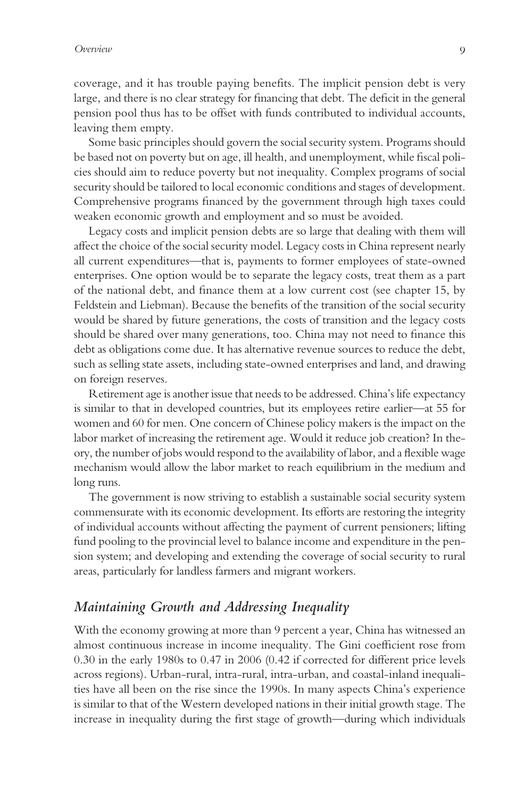coverage, and it has trouble paying benefits. The implicit pension debt is very large, and there is no clear strategy for financing that debt. The deficit in the general pension pool thus has to be offset with funds contributed to individual accounts, leaving them empty.

Some basic principles should govern the social security system. Programs should be based not on poverty but on age, ill health, and unemployment, while fiscal policies should aim to reduce poverty but not inequality. Complex programs of social security should be tailored to local economic conditions and stages of development. Comprehensive programs financed by the government through high taxes could weaken economic growth and employment and so must be avoided.

Legacy costs and implicit pension debts are so large that dealing with them will affect the choice of the social security model. Legacy costs in China represent nearly all current expenditures—that is, payments to former employees of state-owned enterprises. One option would be to separate the legacy costs, treat them as a part of the national debt, and finance them at a low current cost (see chapter 15, by Feldstein and Liebman). Because the benefits of the transition of the social security would be shared by future generations, the costs of transition and the legacy costs should be shared over many generations, too. China may not need to finance this debt as obligations come due. It has alternative revenue sources to reduce the debt, such as selling state assets, including state-owned enterprises and land, and drawing on foreign reserves.

Retirement age is another issue that needs to be addressed. China's life expectancy is similar to that in developed countries, but its employees retire earlier—at 55 for women and 60 for men. One concern of Chinese policy makers is the impact on the labor market of increasing the retirement age. Would it reduce job creation? In theory, the number of jobs would respond to the availability of labor, and a flexible wage mechanism would allow the labor market to reach equilibrium in the medium and long runs.

The government is now striving to establish a sustainable social security system commensurate with its economic development. Its efforts are restoring the integrity of individual accounts without affecting the payment of current pensioners; lifting fund pooling to the provincial level to balance income and expenditure in the pension system; and developing and extending the coverage of social security to rural areas, particularly for landless farmers and migrant workers.

## *Maintaining Growth and Addressing Inequality*

With the economy growing at more than 9 percent a year, China has witnessed an almost continuous increase in income inequality. The Gini coefficient rose from 0.30 in the early 1980s to 0.47 in 2006 (0.42 if corrected for different price levels across regions). Urban-rural, intra-rural, intra-urban, and coastal-inland inequalities have all been on the rise since the 1990s. In many aspects China's experience is similar to that of the Western developed nations in their initial growth stage. The increase in inequality during the first stage of growth—during which individuals